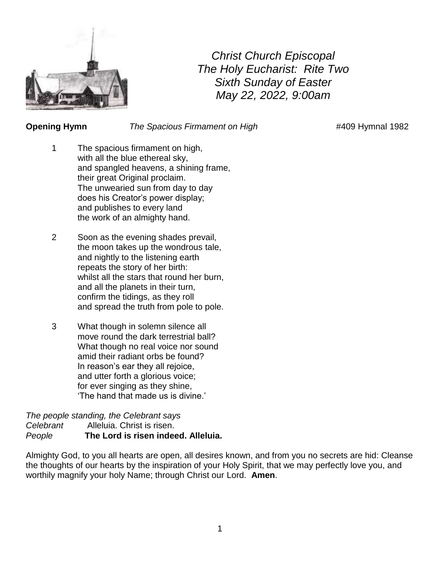

*Christ Church Episcopal The Holy Eucharist: Rite Two Sixth Sunday of Easter May 22, 2022, 9:00am*

**Opening Hymn** *The Spacious Firmament on High* **1982** *#409 Hymnal 1982* 

- 1 The spacious firmament on high, with all the blue ethereal sky, and spangled heavens, a shining frame, their great Original proclaim. The unwearied sun from day to day does his Creator's power display; and publishes to every land the work of an almighty hand.
- 2 Soon as the evening shades prevail, the moon takes up the wondrous tale, and nightly to the listening earth repeats the story of her birth: whilst all the stars that round her burn. and all the planets in their turn, confirm the tidings, as they roll and spread the truth from pole to pole.
- 3 What though in solemn silence all move round the dark terrestrial ball? What though no real voice nor sound amid their radiant orbs be found? In reason's ear they all rejoice, and utter forth a glorious voice; for ever singing as they shine, 'The hand that made us is divine.'

*The people standing, the Celebrant says Celebrant* Alleluia. Christ is risen. *People* **The Lord is risen indeed. Alleluia.**

Almighty God, to you all hearts are open, all desires known, and from you no secrets are hid: Cleanse the thoughts of our hearts by the inspiration of your Holy Spirit, that we may perfectly love you, and worthily magnify your holy Name; through Christ our Lord. **Amen**.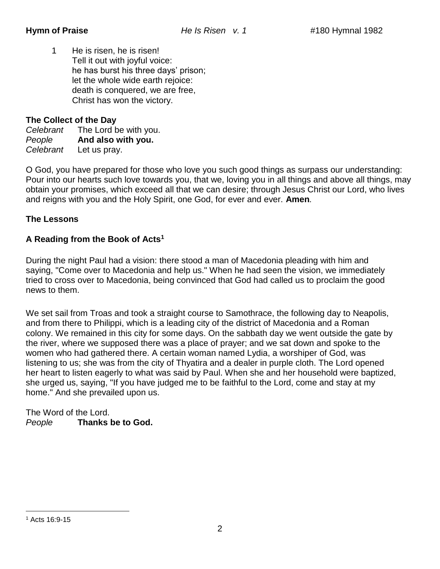1 He is risen, he is risen! Tell it out with joyful voice: he has burst his three days' prison; let the whole wide earth rejoice: death is conquered, we are free, Christ has won the victory.

### **The Collect of the Day**

*Celebrant* The Lord be with you. *People* **And also with you.** *Celebrant* Let us pray.

O God, you have prepared for those who love you such good things as surpass our understanding: Pour into our hearts such love towards you, that we, loving you in all things and above all things, may obtain your promises, which exceed all that we can desire; through Jesus Christ our Lord, who lives and reigns with you and the Holy Spirit, one God, for ever and ever. **Amen***.*

## **The Lessons**

## **A Reading from the Book of Acts<sup>1</sup>**

During the night Paul had a vision: there stood a man of Macedonia pleading with him and saying, "Come over to Macedonia and help us." When he had seen the vision, we immediately tried to cross over to Macedonia, being convinced that God had called us to proclaim the good news to them.

We set sail from Troas and took a straight course to Samothrace, the following day to Neapolis, and from there to Philippi, which is a leading city of the district of Macedonia and a Roman colony. We remained in this city for some days. On the sabbath day we went outside the gate by the river, where we supposed there was a place of prayer; and we sat down and spoke to the women who had gathered there. A certain woman named Lydia, a worshiper of God, was listening to us; she was from the city of Thyatira and a dealer in purple cloth. The Lord opened her heart to listen eagerly to what was said by Paul. When she and her household were baptized, she urged us, saying, "If you have judged me to be faithful to the Lord, come and stay at my home." And she prevailed upon us.

The Word of the Lord. *People* **Thanks be to God.**

 $\overline{a}$ 

<sup>1</sup> Acts 16:9-15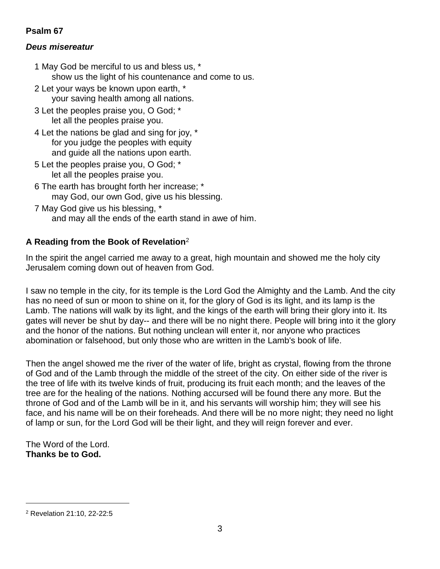## **Psalm 67**

## *Deus misereatur*

- 1 May God be merciful to us and bless us, \* show us the light of his countenance and come to us.
- 2 Let your ways be known upon earth, \* your saving health among all nations.
- 3 Let the peoples praise you, O God; \* let all the peoples praise you.
- 4 Let the nations be glad and sing for joy, \* for you judge the peoples with equity and guide all the nations upon earth.
- 5 Let the peoples praise you, O God; \* let all the peoples praise you.
- 6 The earth has brought forth her increase; \* may God, our own God, give us his blessing.
- 7 May God give us his blessing, \* and may all the ends of the earth stand in awe of him.

## **A Reading from the Book of Revelation**<sup>2</sup>

In the spirit the angel carried me away to a great, high mountain and showed me the holy city Jerusalem coming down out of heaven from God.

I saw no temple in the city, for its temple is the Lord God the Almighty and the Lamb. And the city has no need of sun or moon to shine on it, for the glory of God is its light, and its lamp is the Lamb. The nations will walk by its light, and the kings of the earth will bring their glory into it. Its gates will never be shut by day-- and there will be no night there. People will bring into it the glory and the honor of the nations. But nothing unclean will enter it, nor anyone who practices abomination or falsehood, but only those who are written in the Lamb's book of life.

Then the angel showed me the river of the water of life, bright as crystal, flowing from the throne of God and of the Lamb through the middle of the street of the city. On either side of the river is the tree of life with its twelve kinds of fruit, producing its fruit each month; and the leaves of the tree are for the healing of the nations. Nothing accursed will be found there any more. But the throne of God and of the Lamb will be in it, and his servants will worship him; they will see his face, and his name will be on their foreheads. And there will be no more night; they need no light of lamp or sun, for the Lord God will be their light, and they will reign forever and ever.

The Word of the Lord. **Thanks be to God.**

 $\overline{a}$ 

<sup>2</sup> Revelation 21:10, 22-22:5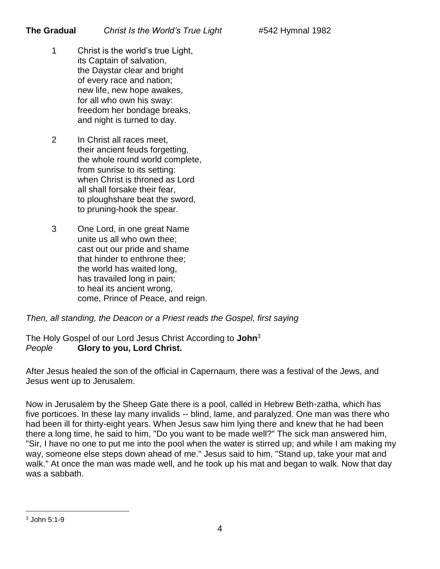- 1 Christ is the world's true Light, its Captain of salvation, the Daystar clear and bright of every race and nation; new life, new hope awakes, for all who own his sway: freedom her bondage breaks, and night is turned to day.
- 2 In Christ all races meet, their ancient feuds forgetting, the whole round world complete, from sunrise to its setting: when Christ is throned as Lord all shall forsake their fear, to ploughshare beat the sword, to pruning-hook the spear.
- 3 One Lord, in one great Name unite us all who own thee; cast out our pride and shame that hinder to enthrone thee; the world has waited long, has travailed long in pain; to heal its ancient wrong, come, Prince of Peace, and reign.

*Then, all standing, the Deacon or a Priest reads the Gospel, first saying*

The Holy Gospel of our Lord Jesus Christ According to **John**<sup>3</sup> *People* **Glory to you, Lord Christ.**

After Jesus healed the son of the official in Capernaum, there was a festival of the Jews, and Jesus went up to Jerusalem.

Now in Jerusalem by the Sheep Gate there is a pool, called in Hebrew Beth-zatha, which has five porticoes. In these lay many invalids -- blind, lame, and paralyzed. One man was there who had been ill for thirty-eight years. When Jesus saw him lying there and knew that he had been there a long time, he said to him, "Do you want to be made well?" The sick man answered him, "Sir, I have no one to put me into the pool when the water is stirred up; and while I am making my way, someone else steps down ahead of me." Jesus said to him, "Stand up, take your mat and walk." At once the man was made well, and he took up his mat and began to walk. Now that day was a sabbath.

 $\overline{a}$ <sup>3</sup> John 5:1-9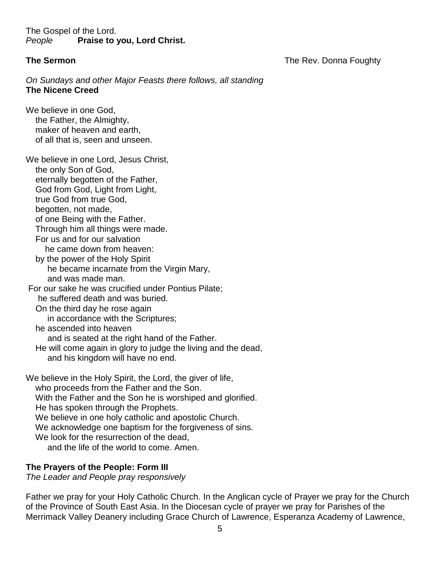The Gospel of the Lord. *People* **Praise to you, Lord Christ.**

*On Sundays and other Major Feasts there follows, all standing* **The Nicene Creed**

We believe in one God, the Father, the Almighty, maker of heaven and earth, of all that is, seen and unseen.

We believe in one Lord, Jesus Christ, the only Son of God, eternally begotten of the Father, God from God, Light from Light, true God from true God, begotten, not made, of one Being with the Father. Through him all things were made. For us and for our salvation he came down from heaven: by the power of the Holy Spirit he became incarnate from the Virgin Mary, and was made man. For our sake he was crucified under Pontius Pilate; he suffered death and was buried. On the third day he rose again in accordance with the Scriptures; he ascended into heaven and is seated at the right hand of the Father. He will come again in glory to judge the living and the dead, and his kingdom will have no end. We believe in the Holy Spirit, the Lord, the giver of life, who proceeds from the Father and the Son. With the Father and the Son he is worshiped and glorified. He has spoken through the Prophets. We believe in one holy catholic and apostolic Church. We acknowledge one baptism for the forgiveness of sins.

We look for the resurrection of the dead.

and the life of the world to come. Amen.

#### **The Prayers of the People: Form III**

*The Leader and People pray responsively*

Father we pray for your Holy Catholic Church. In the Anglican cycle of Prayer we pray for the Church of the Province of South East Asia. In the Diocesan cycle of prayer we pray for Parishes of the Merrimack Valley Deanery including Grace Church of Lawrence, Esperanza Academy of Lawrence,

**The Sermon** The Rev. Donna Foughty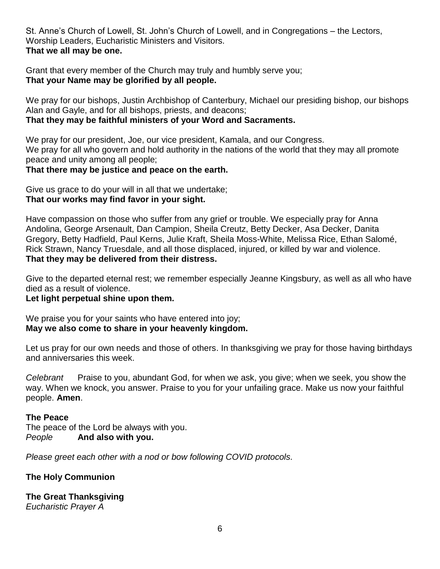St. Anne's Church of Lowell, St. John's Church of Lowell, and in Congregations – the Lectors, Worship Leaders, Eucharistic Ministers and Visitors. **That we all may be one.**

Grant that every member of the Church may truly and humbly serve you; **That your Name may be glorified by all people.**

We pray for our bishops, Justin Archbishop of Canterbury, Michael our presiding bishop, our bishops Alan and Gayle, and for all bishops, priests, and deacons; **That they may be faithful ministers of your Word and Sacraments.**

We pray for our president, Joe, our vice president, Kamala, and our Congress. We pray for all who govern and hold authority in the nations of the world that they may all promote peace and unity among all people;

#### **That there may be justice and peace on the earth.**

Give us grace to do your will in all that we undertake; **That our works may find favor in your sight.**

Have compassion on those who suffer from any grief or trouble. We especially pray for Anna Andolina, George Arsenault, Dan Campion, Sheila Creutz, Betty Decker, Asa Decker, Danita Gregory, Betty Hadfield, Paul Kerns, Julie Kraft, Sheila Moss-White, Melissa Rice, Ethan Salomé, Rick Strawn, Nancy Truesdale, and all those displaced, injured, or killed by war and violence. **That they may be delivered from their distress.**

Give to the departed eternal rest; we remember especially Jeanne Kingsbury, as well as all who have died as a result of violence.

#### **Let light perpetual shine upon them.**

We praise you for your saints who have entered into joy; **May we also come to share in your heavenly kingdom.**

Let us pray for our own needs and those of others. In thanksgiving we pray for those having birthdays and anniversaries this week.

*Celebrant* Praise to you, abundant God, for when we ask, you give; when we seek, you show the way. When we knock, you answer. Praise to you for your unfailing grace. Make us now your faithful people. **Amen**.

#### **The Peace**

The peace of the Lord be always with you. *People* **And also with you.**

*Please greet each other with a nod or bow following COVID protocols.*

## **The Holy Communion**

**The Great Thanksgiving** *Eucharistic Prayer A*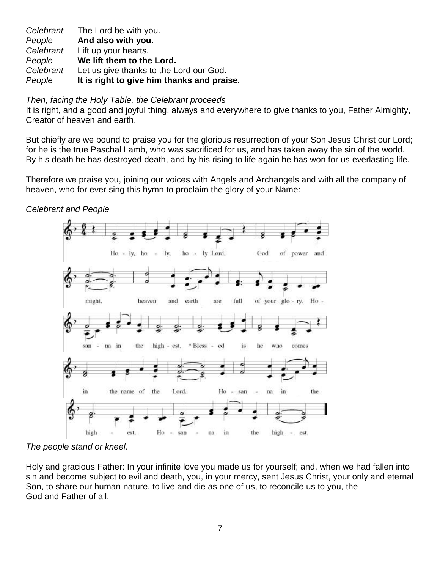| Celebrant | The Lord be with you.                      |
|-----------|--------------------------------------------|
| People    | And also with you.                         |
| Celebrant | Lift up your hearts.                       |
| People    | We lift them to the Lord.                  |
| Celebrant | Let us give thanks to the Lord our God.    |
| People    | It is right to give him thanks and praise. |

#### *Then, facing the Holy Table, the Celebrant proceeds*

It is right, and a good and joyful thing, always and everywhere to give thanks to you, Father Almighty, Creator of heaven and earth.

But chiefly are we bound to praise you for the glorious resurrection of your Son Jesus Christ our Lord; for he is the true Paschal Lamb, who was sacrificed for us, and has taken away the sin of the world. By his death he has destroyed death, and by his rising to life again he has won for us everlasting life.

Therefore we praise you, joining our voices with Angels and Archangels and with all the company of heaven, who for ever sing this hymn to proclaim the glory of your Name:

*Celebrant and People*



*The people stand or kneel.*

Holy and gracious Father: In your infinite love you made us for yourself; and, when we had fallen into sin and become subject to evil and death, you, in your mercy, sent Jesus Christ, your only and eternal Son, to share our human nature, to live and die as one of us, to reconcile us to you, the God and Father of all.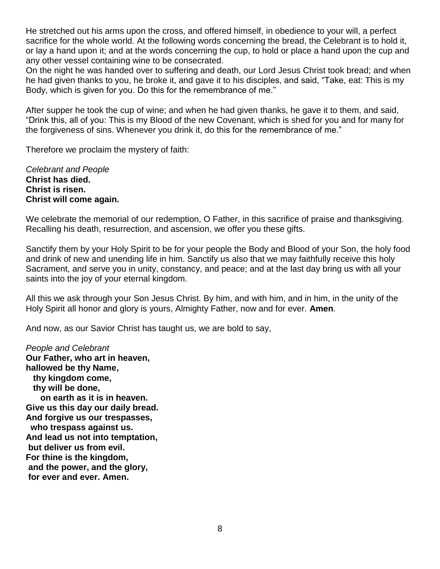He stretched out his arms upon the cross, and offered himself, in obedience to your will, a perfect sacrifice for the whole world. At the following words concerning the bread, the Celebrant is to hold it, or lay a hand upon it; and at the words concerning the cup, to hold or place a hand upon the cup and any other vessel containing wine to be consecrated.

On the night he was handed over to suffering and death, our Lord Jesus Christ took bread; and when he had given thanks to you, he broke it, and gave it to his disciples, and said, "Take, eat: This is my Body, which is given for you. Do this for the remembrance of me."

After supper he took the cup of wine; and when he had given thanks, he gave it to them, and said, "Drink this, all of you: This is my Blood of the new Covenant, which is shed for you and for many for the forgiveness of sins. Whenever you drink it, do this for the remembrance of me."

Therefore we proclaim the mystery of faith:

*Celebrant and People* **Christ has died. Christ is risen. Christ will come again.**

We celebrate the memorial of our redemption, O Father, in this sacrifice of praise and thanksgiving. Recalling his death, resurrection, and ascension, we offer you these gifts.

Sanctify them by your Holy Spirit to be for your people the Body and Blood of your Son, the holy food and drink of new and unending life in him. Sanctify us also that we may faithfully receive this holy Sacrament, and serve you in unity, constancy, and peace; and at the last day bring us with all your saints into the joy of your eternal kingdom.

All this we ask through your Son Jesus Christ. By him, and with him, and in him, in the unity of the Holy Spirit all honor and glory is yours, Almighty Father, now and for ever. **Amen**.

And now, as our Savior Christ has taught us, we are bold to say,

*People and Celebrant* **Our Father, who art in heaven, hallowed be thy Name, thy kingdom come, thy will be done, on earth as it is in heaven. Give us this day our daily bread. And forgive us our trespasses, who trespass against us. And lead us not into temptation, but deliver us from evil. For thine is the kingdom, and the power, and the glory, for ever and ever. Amen.**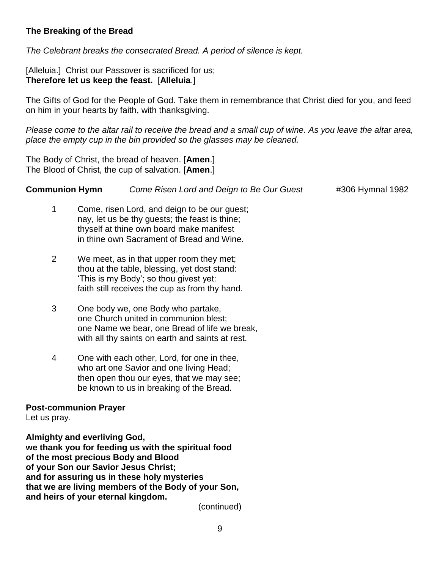## **The Breaking of the Bread**

*The Celebrant breaks the consecrated Bread. A period of silence is kept.*

[Alleluia.] Christ our Passover is sacrificed for us; **Therefore let us keep the feast.** [**Alleluia**.]

The Gifts of God for the People of God. Take them in remembrance that Christ died for you, and feed on him in your hearts by faith, with thanksgiving.

*Please come to the altar rail to receive the bread and a small cup of wine. As you leave the altar area, place the empty cup in the bin provided so the glasses may be cleaned.* 

The Body of Christ, the bread of heaven. [**Amen**.] The Blood of Christ, the cup of salvation. [**Amen**.]

**Communion Hymn** *Come Risen Lord and Deign to Be Our Guest* #306 Hymnal 1982

- 1 Come, risen Lord, and deign to be our guest; nay, let us be thy guests; the feast is thine; thyself at thine own board make manifest in thine own Sacrament of Bread and Wine.
- 2 We meet, as in that upper room they met; thou at the table, blessing, yet dost stand: 'This is my Body'; so thou givest yet: faith still receives the cup as from thy hand.
- 3 One body we, one Body who partake, one Church united in communion blest; one Name we bear, one Bread of life we break, with all thy saints on earth and saints at rest.
- 4 One with each other, Lord, for one in thee, who art one Savior and one living Head; then open thou our eyes, that we may see; be known to us in breaking of the Bread.

#### **Post-communion Prayer**

Let us pray.

**Almighty and everliving God, we thank you for feeding us with the spiritual food of the most precious Body and Blood of your Son our Savior Jesus Christ; and for assuring us in these holy mysteries that we are living members of the Body of your Son, and heirs of your eternal kingdom.**

(continued)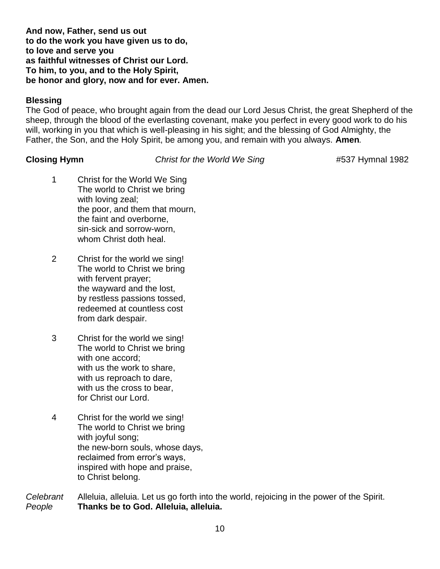**And now, Father, send us out to do the work you have given us to do, to love and serve you as faithful witnesses of Christ our Lord. To him, to you, and to the Holy Spirit, be honor and glory, now and for ever. Amen.**

#### **Blessing**

The God of peace, who brought again from the dead our Lord Jesus Christ, the great Shepherd of the sheep, through the blood of the everlasting covenant, make you perfect in every good work to do his will, working in you that which is well-pleasing in his sight; and the blessing of God Almighty, the Father, the Son, and the Holy Spirit, be among you, and remain with you always. **Amen***.*

**Closing Hymn Christ for the World We Sing <b>Example 2018** 2019 2020 **Closing Hymnal 1982** 

- 1 Christ for the World We Sing The world to Christ we bring with loving zeal; the poor, and them that mourn, the faint and overborne, sin-sick and sorrow-worn, whom Christ doth heal.
- 2 Christ for the world we sing! The world to Christ we bring with fervent prayer; the wayward and the lost, by restless passions tossed, redeemed at countless cost from dark despair.
- 3 Christ for the world we sing! The world to Christ we bring with one accord; with us the work to share, with us reproach to dare, with us the cross to bear, for Christ our Lord.
- 4 Christ for the world we sing! The world to Christ we bring with joyful song; the new-born souls, whose days, reclaimed from error's ways, inspired with hope and praise, to Christ belong.

*Celebrant* Alleluia, alleluia. Let us go forth into the world, rejoicing in the power of the Spirit. *People* **Thanks be to God. Alleluia, alleluia.**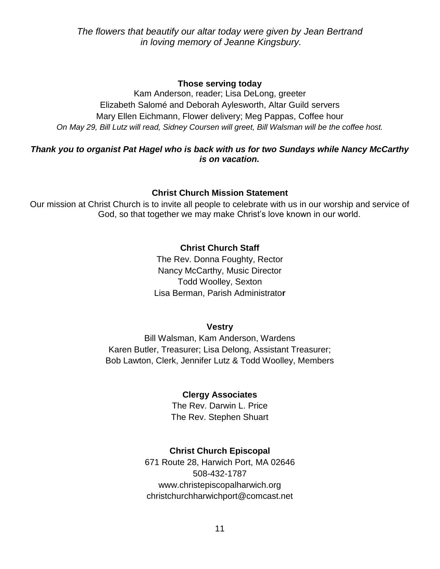*The flowers that beautify our altar today were given by Jean Bertrand in loving memory of Jeanne Kingsbury.*

#### **Those serving today**

Kam Anderson, reader; Lisa DeLong, greeter Elizabeth Salomé and Deborah Aylesworth, Altar Guild servers Mary Ellen Eichmann, Flower delivery; Meg Pappas, Coffee hour *On May 29, Bill Lutz will read, Sidney Coursen will greet, Bill Walsman will be the coffee host.* 

## *Thank you to organist Pat Hagel who is back with us for two Sundays while Nancy McCarthy is on vacation.*

## **Christ Church Mission Statement**

Our mission at Christ Church is to invite all people to celebrate with us in our worship and service of God, so that together we may make Christ's love known in our world.

## **Christ Church Staff**

The Rev. Donna Foughty, Rector Nancy McCarthy, Music Director Todd Woolley, Sexton Lisa Berman, Parish Administrato**r**

#### **Vestry**

Bill Walsman, Kam Anderson, Wardens Karen Butler, Treasurer; Lisa Delong, Assistant Treasurer; Bob Lawton, Clerk, Jennifer Lutz & Todd Woolley, Members

## **Clergy Associates**

The Rev. Darwin L. Price The Rev. Stephen Shuart

## **Christ Church Episcopal**

671 Route 28, Harwich Port, MA 02646 508-432-1787 [www.christepiscopalharwich.org](http://www.christepiscopalharwich.org/) [christchurchharwichport@comcast.net](mailto:christchurchharwichport@comcast.net)